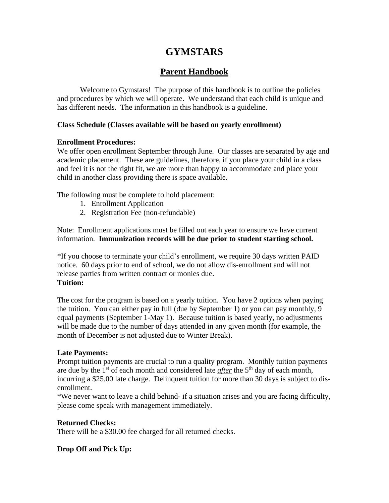# **GYMSTARS**

# **Parent Handbook**

Welcome to Gymstars! The purpose of this handbook is to outline the policies and procedures by which we will operate. We understand that each child is unique and has different needs. The information in this handbook is a guideline.

# **Class Schedule (Classes available will be based on yearly enrollment)**

# **Enrollment Procedures:**

We offer open enrollment September through June. Our classes are separated by age and academic placement. These are guidelines, therefore, if you place your child in a class and feel it is not the right fit, we are more than happy to accommodate and place your child in another class providing there is space available.

The following must be complete to hold placement:

- 1. Enrollment Application
- 2. Registration Fee (non-refundable)

Note: Enrollment applications must be filled out each year to ensure we have current information. **Immunization records will be due prior to student starting school.**

\*If you choose to terminate your child's enrollment, we require 30 days written PAID notice. 60 days prior to end of school, we do not allow dis-enrollment and will not release parties from written contract or monies due. **Tuition:**

The cost for the program is based on a yearly tuition. You have 2 options when paying the tuition. You can either pay in full (due by September 1) or you can pay monthly, 9 equal payments (September 1-May 1). Because tuition is based yearly, no adjustments will be made due to the number of days attended in any given month (for example, the month of December is not adjusted due to Winter Break).

# **Late Payments:**

Prompt tuition payments are crucial to run a quality program. Monthly tuition payments are due by the 1<sup>st</sup> of each month and considered late *after* the 5<sup>th</sup> day of each month, incurring a \$25.00 late charge. Delinquent tuition for more than 30 days is subject to disenrollment.

\*We never want to leave a child behind- if a situation arises and you are facing difficulty, please come speak with management immediately.

# **Returned Checks:**

There will be a \$30.00 fee charged for all returned checks.

# **Drop Off and Pick Up:**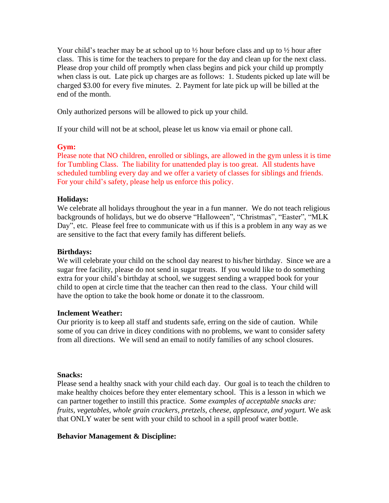Your child's teacher may be at school up to  $\frac{1}{2}$  hour before class and up to  $\frac{1}{2}$  hour after class. This is time for the teachers to prepare for the day and clean up for the next class. Please drop your child off promptly when class begins and pick your child up promptly when class is out. Late pick up charges are as follows: 1. Students picked up late will be charged \$3.00 for every five minutes. 2. Payment for late pick up will be billed at the end of the month.

Only authorized persons will be allowed to pick up your child.

If your child will not be at school, please let us know via email or phone call.

#### **Gym:**

Please note that NO children, enrolled or siblings, are allowed in the gym unless it is time for Tumbling Class. The liability for unattended play is too great. All students have scheduled tumbling every day and we offer a variety of classes for siblings and friends. For your child's safety, please help us enforce this policy.

#### **Holidays:**

We celebrate all holidays throughout the year in a fun manner. We do not teach religious backgrounds of holidays, but we do observe "Halloween", "Christmas", "Easter", "MLK Day", etc. Please feel free to communicate with us if this is a problem in any way as we are sensitive to the fact that every family has different beliefs.

#### **Birthdays:**

We will celebrate your child on the school day nearest to his/her birthday. Since we are a sugar free facility, please do not send in sugar treats. If you would like to do something extra for your child's birthday at school, we suggest sending a wrapped book for your child to open at circle time that the teacher can then read to the class. Your child will have the option to take the book home or donate it to the classroom.

#### **Inclement Weather:**

Our priority is to keep all staff and students safe, erring on the side of caution. While some of you can drive in dicey conditions with no problems, we want to consider safety from all directions. We will send an email to notify families of any school closures.

#### **Snacks:**

Please send a healthy snack with your child each day. Our goal is to teach the children to make healthy choices before they enter elementary school. This is a lesson in which we can partner together to instill this practice. *Some examples of acceptable snacks are: fruits, vegetables, whole grain crackers, pretzels, cheese, applesauce, and yogurt.* We ask that ONLY water be sent with your child to school in a spill proof water bottle.

#### **Behavior Management & Discipline:**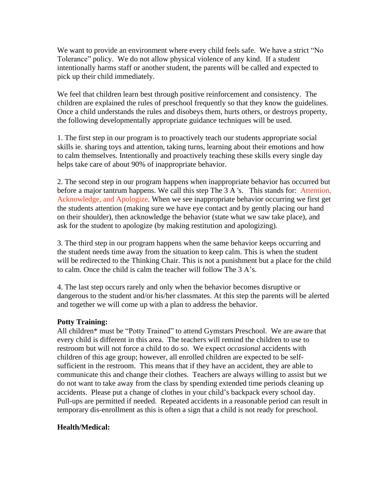We want to provide an environment where every child feels safe. We have a strict "No Tolerance" policy. We do not allow physical violence of any kind. If a student intentionally harms staff or another student, the parents will be called and expected to pick up their child immediately.

We feel that children learn best through positive reinforcement and consistency. The children are explained the rules of preschool frequently so that they know the guidelines. Once a child understands the rules and disobeys them, hurts others, or destroys property, the following developmentally appropriate guidance techniques will be used.

1. The first step in our program is to proactively teach our students appropriate social skills ie. sharing toys and attention, taking turns, learning about their emotions and how to calm themselves. Intentionally and proactively teaching these skills every single day helps take care of about 90% of inappropriate behavior.

2. The second step in our program happens when inappropriate behavior has occurred but before a major tantrum happens. We call this step The 3 A 's. This stands for: Attention, Acknowledge, and Apologize. When we see inappropriate behavior occurring we first get the students attention (making sure we have eye contact and by gently placing our hand on their shoulder), then acknowledge the behavior (state what we saw take place), and ask for the student to apologize (by making restitution and apologizing).

3. The third step in our program happens when the same behavior keeps occurring and the student needs time away from the situation to keep calm. This is when the student will be redirected to the Thinking Chair. This is not a punishment but a place for the child to calm. Once the child is calm the teacher will follow The 3 A's.

4. The last step occurs rarely and only when the behavior becomes disruptive or dangerous to the student and/or his/her classmates. At this step the parents will be alerted and together we will come up with a plan to address the behavior.

# **Potty Training:**

All children\* must be "Potty Trained" to attend Gymstars Preschool. We are aware that every child is different in this area. The teachers will remind the children to use to restroom but will not force a child to do so. We expect *occasional* accidents with children of this age group; however, all enrolled children are expected to be selfsufficient in the restroom. This means that if they have an accident, they are able to communicate this and change their clothes. Teachers are always willing to assist but we do not want to take away from the class by spending extended time periods cleaning up accidents. Please put a change of clothes in your child's backpack every school day. Pull-ups are permitted if needed. Repeated accidents in a reasonable period can result in temporary dis-enrollment as this is often a sign that a child is not ready for preschool.

# **Health/Medical:**